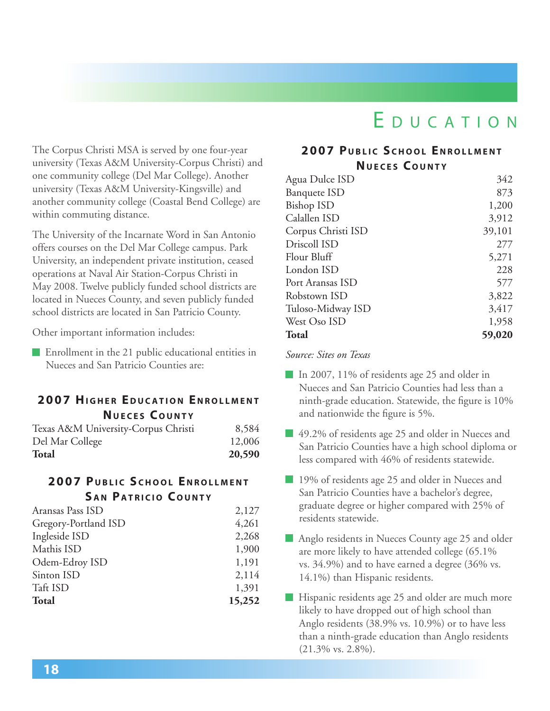# E D U C A T I O N

The Corpus Christi MSA is served by one four-year university (Texas A&M University-Corpus Christi) and one community college (Del Mar College). Another university (Texas A&M University-Kingsville) and another community college (Coastal Bend College) are within commuting distance.

The University of the Incarnate Word in San Antonio offers courses on the Del Mar College campus. Park University, an independent private institution, ceased operations at Naval Air Station-Corpus Christi in May 2008. Twelve publicly funded school districts are located in Nueces County, and seven publicly funded school districts are located in San Patricio County.

Other important information includes:

Enrollment in the 21 public educational entities in Nueces and San Patricio Counties are:

## **2007 HIGHER EDUCATION ENROLLMENT Nu <sup>e</sup> <sup>c</sup> <sup>e</sup> <sup>s</sup> C o u n t y**

| <b>Total</b>                        | 20,590 |
|-------------------------------------|--------|
| Del Mar College                     | 12,006 |
| Texas A&M University-Corpus Christi | 8,584  |

### **2007 Pu b l i c S c h o o l En r o l l men t SAN PATRICIO COUNTY**

| Aransas Pass ISD     | 2,127  |
|----------------------|--------|
| Gregory-Portland ISD | 4,261  |
| Ingleside ISD        | 2,268  |
| Mathis ISD           | 1,900  |
| Odem-Edroy ISD       | 1,191  |
| Sinton ISD           | 2,114  |
| Taft ISD             | 1,391  |
| <b>Total</b>         | 15,252 |
|                      |        |

## **2007 Pu b l i c S c h o o l En r o l l men t Nu <sup>e</sup> <sup>c</sup> <sup>e</sup> <sup>s</sup> C o u n t y**

| Agua Dulce ISD      | 342    |
|---------------------|--------|
| <b>Banquete ISD</b> | 873    |
| Bishop ISD          | 1,200  |
| Calallen ISD        | 3,912  |
| Corpus Christi ISD  | 39,101 |
| Driscoll ISD        | 277    |
| Flour Bluff         | 5,271  |
| London ISD          | 228    |
| Port Aransas ISD    | 577    |
| Robstown ISD        | 3,822  |
| Tuloso-Midway ISD   | 3,417  |
| West Oso ISD        | 1,958  |
| <b>Total</b>        | 59,020 |

*Source: Sites on Texas*

- In 2007, 11% of residents age 25 and older in Nueces and San Patricio Counties had less than a ninth-grade education. Statewide, the figure is 10% and nationwide the figure is 5%.
- 49.2% of residents age 25 and older in Nueces and San Patricio Counties have a high school diploma or less compared with 46% of residents statewide.
- 19% of residents age 25 and older in Nueces and San Patricio Counties have a bachelor's degree, graduate degree or higher compared with 25% of residents statewide.
- Anglo residents in Nueces County age 25 and older are more likely to have attended college (65.1% vs. 34.9%) and to have earned a degree (36% vs. 14.1%) than Hispanic residents.
- **Hispanic residents age 25 and older are much more** likely to have dropped out of high school than Anglo residents (38.9% vs. 10.9%) or to have less than a ninth-grade education than Anglo residents (21.3% vs. 2.8%).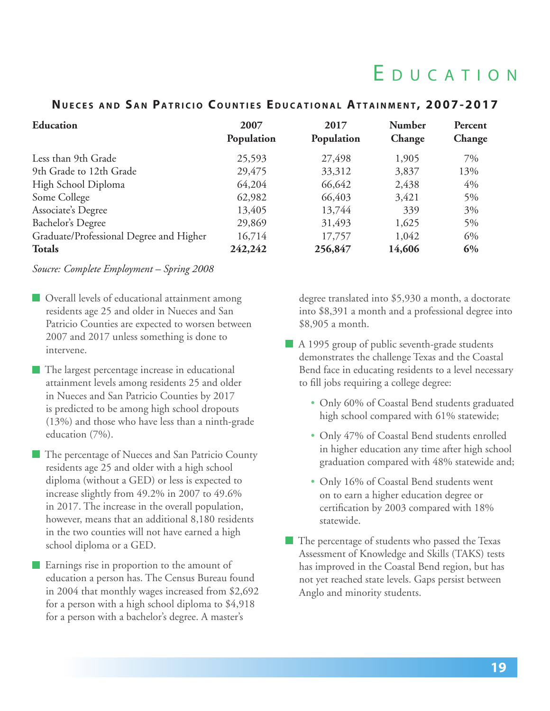# E d u c a <sup>t</sup> i o n

### **NUECES AND SAN PATRICIO COUNTIES EDUCATIONAL ATTAINMENT, 2007-2017**

| <b>Education</b>                        | 2007<br>Population | 2017<br>Population | <b>Number</b><br>Change | Percent<br>Change |
|-----------------------------------------|--------------------|--------------------|-------------------------|-------------------|
| Less than 9th Grade                     | 25,593             | 27,498             | 1,905                   | 7%                |
| 9th Grade to 12th Grade                 | 29,475             | 33,312             | 3,837                   | 13%               |
| High School Diploma                     | 64,204             | 66,642             | 2,438                   | 4%                |
| Some College                            | 62,982             | 66,403             | 3,421                   | $5\%$             |
| Associate's Degree                      | 13,405             | 13,744             | 339                     | 3%                |
| Bachelor's Degree                       | 29,869             | 31,493             | 1,625                   | 5%                |
| Graduate/Professional Degree and Higher | 16,714             | 17,757             | 1,042                   | 6%                |
| <b>Totals</b>                           | 242,242            | 256,847            | 14,606                  | 6%                |

#### *Soucre: Complete Employment – Spring 2008*

- **Overall levels of educational attainment among** residents age 25 and older in Nueces and San Patricio Counties are expected to worsen between 2007 and 2017 unless something is done to intervene.
- The largest percentage increase in educational attainment levels among residents 25 and older in Nueces and San Patricio Counties by 2017 is predicted to be among high school dropouts (13%) and those who have less than a ninth-grade education (7%).
- The percentage of Nueces and San Patricio County residents age 25 and older with a high school diploma (without a GED) or less is expected to increase slightly from 49.2% in 2007 to 49.6% in 2017. The increase in the overall population, however, means that an additional 8,180 residents in the two counties will not have earned a high school diploma or a GED.

**Earnings rise in proportion to the amount of** education a person has. The Census Bureau found in 2004 that monthly wages increased from \$2,692 for a person with a high school diploma to \$4,918 for a person with a bachelor's degree. A master's

degree translated into \$5,930 a month, a doctorate into \$8,391 a month and a professional degree into \$8,905 a month.

- A 1995 group of public seventh-grade students demonstrates the challenge Texas and the Coastal Bend face in educating residents to a level necessary to fill jobs requiring a college degree:
	- Only 60% of Coastal Bend students graduated high school compared with 61% statewide;
	- Only 47% of Coastal Bend students enrolled in higher education any time after high school graduation compared with 48% statewide and;
	- Only 16% of Coastal Bend students went on to earn a higher education degree or certification by 2003 compared with 18% statewide.
- The percentage of students who passed the Texas Assessment of Knowledge and Skills (TAKS) tests has improved in the Coastal Bend region, but has not yet reached state levels. Gaps persist between Anglo and minority students.